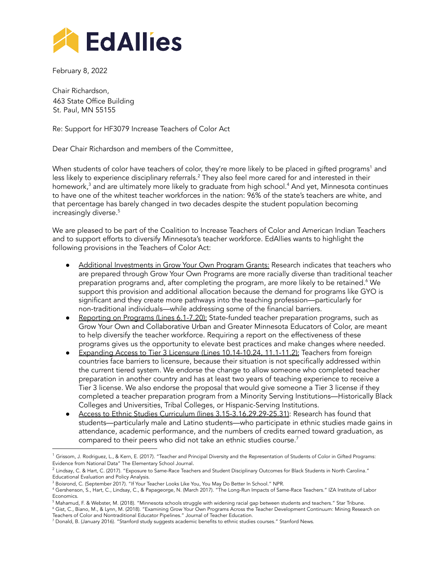

February 8, 2022

Chair Richardson, 463 State Office Building St. Paul, MN 55155

Re: Support for HF3079 Increase Teachers of Color Act

Dear Chair Richardson and members of the Committee,

When students of color have teachers of color, they're more likely to be placed in gifted programs <sup>1</sup> and less likely to experience disciplinary referrals. $^2$  They also feel more cared for and interested in their homework, <sup>3</sup> and are ultimately more likely to graduate from high school. <sup>4</sup> And yet, Minnesota continues to have one of the whitest teacher workforces in the nation: 96% of the state's teachers are white, and that percentage has barely changed in two decades despite the student population becoming increasingly diverse. 5

We are pleased to be part of the Coalition to Increase Teachers of Color and American Indian Teachers and to support efforts to diversify Minnesota's teacher workforce. EdAllies wants to highlight the following provisions in the Teachers of Color Act:

- Additional Investments in Grow Your Own Program Grants: Research indicates that teachers who are prepared through Grow Your Own Programs are more racially diverse than traditional teacher preparation programs and, after completing the program, are more likely to be retained. <sup>6</sup> We support this provision and additional allocation because the demand for programs like GYO is significant and they create more pathways into the teaching profession—particularly for non-traditional individuals—while addressing some of the financial barriers.
- Reporting on Programs (Lines 6.1-7.20): State-funded teacher preparation programs, such as Grow Your Own and Collaborative Urban and Greater Minnesota Educators of Color, are meant to help diversify the teacher workforce. Requiring a report on the effectiveness of these programs gives us the opportunity to elevate best practices and make changes where needed.
- Expanding Access to Tier 3 Licensure (Lines 10.14-10.24, 11.1-11.2): Teachers from foreign countries face barriers to licensure, because their situation is not specifically addressed within the current tiered system. We endorse the change to allow someone who completed teacher preparation in another country and has at least two years of teaching experience to receive a Tier 3 license. We also endorse the proposal that would give someone a Tier 3 license if they completed a teacher preparation program from a Minority Serving Institutions—Historically Black Colleges and Universities, Tribal Colleges, or Hispanic-Serving Institutions.
- Access to Ethnic Studies Curriculum (lines 3.15-3.16,29.29-25.31): Research has found that students—particularly male and Latino students—who participate in ethnic studies made gains in attendance, academic performance, and the numbers of credits earned toward graduation, as compared to their peers who did not take an ethnic studies course. $^7$

 $1$  Grissom, J. Rodriguez, L., & Kern, E. (2017). "Teacher and Principal Diversity and the [Representation](https://www.journals.uchicago.edu/doi/abs/10.1086/690274) of Students of Color in Gifted Programs: [Evidence](https://www.journals.uchicago.edu/doi/abs/10.1086/690274) from National Data" The Elementary School Journal.

 $^2$  Lindsay, C. & Hart, C. (2017). "Exposure to Same-Race Teachers and Student Disciplinary Outcomes for Black Students in North Carolina." Educational Evaluation and Policy Analysis.

<sup>&</sup>lt;sup>3</sup> Boisrond, C. (September 2017). "If Your Teacher Looks Like You, You May Do Better In School." NPR.

<sup>4</sup> Gershenson, S., Hart, C., Lindsay, C., & Papageorge, N. (March 2017). "The Long-Run Impacts of Same-Race Teachers." IZA Institute of Labor Economics.

<sup>&</sup>lt;sup>5</sup> Mahamud, F. & Webster, M. (2018). "Minnesota schools struggle with widening racial gap between students and teachers." Star Tribune.

<sup>6</sup> Gist, C., Biano, M., & Lynn, M. (2018). "Examining Grow Your Own Programs Across the Teacher Development Continuum: Mining Research on Teachers of Color and Nontraditional Educator Pipelines." Journal of Teacher Education.

<sup>7</sup> Donald, B. (January 2016). "Stanford study suggests academic benefits to ethnic studies courses." Stanford News.